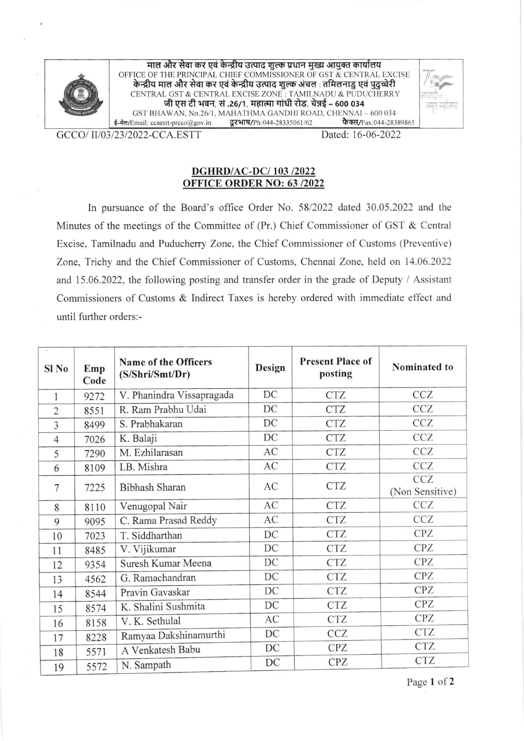

माल और सेवा कर एवं केन्द्रीय उत्पाद शुल्क प्रधान मुख्य आयुक्त कार्यालय OFFICE OF THE PRINCIPAL CHIEF COMMISSIONER OF GST & CENTRAL EXCISE ica of this function. It critics commissional ex access that is an experience to the European and the Fig. is CENTRAL GST & CENTRAL EXCISE ZONE : TAMILNADU & PUDUCHERRY<br>जी एस टी भवन, सं .26/1, महात्मा गांधी रोड, चेन्नई – 600 034 GST BHAWAN, No.26/1, MAHATHMA GANDHI ROAD, CHENNAI – 600 034<br>Email: ccaestt-preco@gov.in **दूरभाष/Ph**:044-28335061/62 **फैक्स/**Fax:044-28389865  $\frac{1}{5}$ -मेल/Email: ccaestt-prcco@gov.in



GCCO/II/03/23/2022-CCA.ESTT Dated: 16-06-2022

## DGHRD/AC-DC/ I03 /2022 OFFICE, ORDER NO: 63 /2022

In pursuance of the Board's office Order No. 58/2022 dated 30.05.2022 and the Minutes of the meetings of the Committee of (Pr.) Chief Commissioner of GST & Central Excise, Tamilnadu and Puducheny Zone, the Chief Commissioner of Customs (Preventive) Zone, Trichy and the Chief Commissioner of Customs, Chennai Zone, held on 14.06.2022 and 15.06.2022, the following posting and transfer order in the grade of Deputy / Assistant Commissioners of Customs & Indirect Taxes is hereby ordered with immediate effect and until further orders:-

| $\rightarrow$<br>Sl No | Emp<br>Code | Name of the Officers<br>(S/Shri/Smt/Dr) | Design | <b>Present Place of</b><br>posting | Nominated to                  |
|------------------------|-------------|-----------------------------------------|--------|------------------------------------|-------------------------------|
| 1                      | 9272        | V. Phanindra Vissapragada               | DC     | <b>CTZ</b>                         | CCZ                           |
| $\overline{2}$         | 8551        | R. Ram Prabhu Udai                      | DC     | <b>CTZ</b>                         | <b>CCZ</b>                    |
| 3                      | 8499        | S. Prabhakaran                          | DC     | <b>CTZ</b>                         | <b>CCZ</b>                    |
| $\overline{4}$         | 7026        | K. Balaji                               | DC     | <b>CTZ</b>                         | CCZ                           |
| 5                      | 7290        | M. Ezhilarasan                          | AC     | <b>CTZ</b>                         | CCZ                           |
| 6                      | 8109        | I.B. Mishra                             | AC     | <b>CTZ</b>                         | <b>CCZ</b>                    |
| 7                      | 7225        | Bibhash Sharan                          | AC     | <b>CTZ</b>                         | <b>CCZ</b><br>(Non Sensitive) |
| 8                      | 8110        | Venugopal Nair                          | AC     | <b>CTZ</b>                         | CCZ                           |
| 9                      | 9095        | C. Rama Prasad Reddy                    | AC     | <b>CTZ</b>                         | <b>CCZ</b>                    |
| 10                     | 7023        | T. Siddharthan                          | DC     | <b>CTZ</b>                         | <b>CPZ</b>                    |
| 11                     | 8485        | V. Vijikumar                            | DC     | <b>CTZ</b>                         | CPZ                           |
| 12                     | 9354        | Suresh Kumar Meena                      | DC     | <b>CTZ</b>                         | CPZ                           |
| 13                     | 4562        | G. Ramachandran                         | DC     | <b>CTZ</b>                         | <b>CPZ</b>                    |
| 14                     | 8544        | Pravin Gavaskar                         | DC     | <b>CTZ</b>                         | <b>CPZ</b>                    |
| 15                     | 8574        | K. Shalini Sushmita                     | DC     | <b>CTZ</b>                         | <b>CPZ</b>                    |
| 16                     | 8158        | V. K. Sethulal                          | AC     | <b>CTZ</b>                         | <b>CPZ</b>                    |
| 17                     | 8228        | Ramyaa Dakshinamurthi                   | DC     | <b>CCZ</b>                         | <b>CTZ</b>                    |
| 18                     | 5571        | A Venkatesh Babu                        | DC     | <b>CPZ</b>                         | <b>CTZ</b>                    |
| 19                     | 5572        | N. Sampath                              | DC     | <b>CPZ</b>                         | <b>CTZ</b>                    |

Page 1 of 2